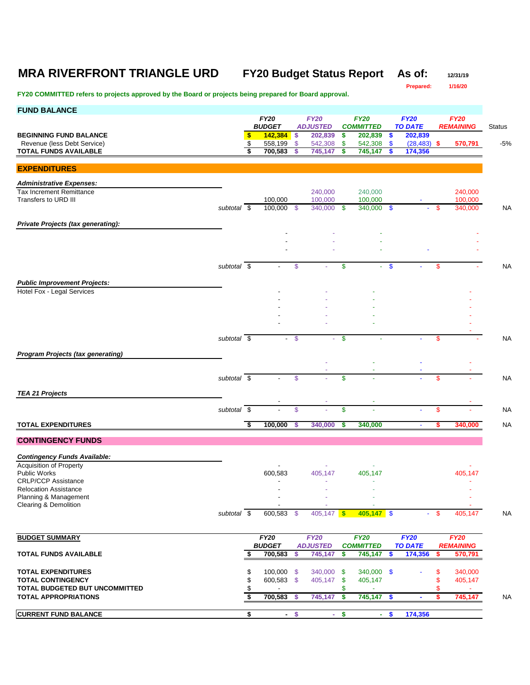# **MRA RIVERFRONT TRIANGLE URD FY20 Budget Status Report As of: 12/31/19**

**Prepared: 1/16/20**

## **FY20 COMMITTED refers to projects approved by the Board or projects being prepared for Board approval.**

| <b>FUND BALANCE</b>                                                |                          |                         |                              |                                |                                |               |                                 |                           |                           |        |                                 |           |
|--------------------------------------------------------------------|--------------------------|-------------------------|------------------------------|--------------------------------|--------------------------------|---------------|---------------------------------|---------------------------|---------------------------|--------|---------------------------------|-----------|
|                                                                    |                          |                         | <b>FY20</b><br><b>BUDGET</b> | <b>FY20</b><br><b>ADJUSTED</b> |                                |               | <b>FY20</b>                     |                           | <b>FY20</b>               |        | <b>FY20</b>                     |           |
| <b>BEGINNING FUND BALANCE</b>                                      |                          | \$                      | 142,384                      | -\$                            | 202,839                        | \$            | <b>COMMITTED</b><br>202,839     | -\$                       | <b>TO DATE</b><br>202,839 |        | <b>REMAINING</b>                | Status    |
| Revenue (less Debt Service)                                        |                          | \$                      | 558,199                      | $\mathbb{S}$                   | 542,308                        | \$            | 542,308                         | $\sqrt[6]{3}$             | $(28, 483)$ \$            |        | 570,791                         | $-5%$     |
| <b>TOTAL FUNDS AVAILABLE</b>                                       |                          | \$                      | 700,583                      |                                | 745,147                        | \$            | 745,147                         | -S                        | 174,356                   |        |                                 |           |
| <b>EXPENDITURES</b>                                                |                          |                         |                              |                                |                                |               |                                 |                           |                           |        |                                 |           |
|                                                                    |                          |                         |                              |                                |                                |               |                                 |                           |                           |        |                                 |           |
| <b>Administrative Expenses:</b><br><b>Tax Increment Remittance</b> |                          |                         |                              |                                | 240,000                        |               | 240,000                         |                           |                           |        | 240,000                         |           |
| Transfers to URD III                                               |                          |                         | 100,000                      |                                | 100.000                        |               | 100,000                         |                           |                           |        | 100,000                         |           |
|                                                                    | subtotal \$              |                         | $100,000$ \$                 |                                | 340,000                        | -\$           | 340,000 \$                      |                           | $\blacksquare$            | \$     | 340,000                         | <b>NA</b> |
| Private Projects (tax generating):                                 |                          |                         |                              |                                |                                |               |                                 |                           |                           |        |                                 |           |
|                                                                    |                          |                         |                              |                                |                                |               |                                 |                           |                           |        |                                 |           |
|                                                                    |                          |                         |                              |                                |                                |               |                                 |                           |                           |        |                                 |           |
|                                                                    |                          |                         |                              |                                |                                |               |                                 |                           |                           |        |                                 |           |
|                                                                    | subtotal \$              |                         |                              | \$                             |                                | \$            | ÷.                              | -\$                       |                           | \$     |                                 | <b>NA</b> |
|                                                                    |                          |                         |                              |                                |                                |               |                                 |                           |                           |        |                                 |           |
| <b>Public Improvement Projects:</b><br>Hotel Fox - Legal Services  |                          |                         |                              |                                |                                |               |                                 |                           |                           |        |                                 |           |
|                                                                    |                          |                         |                              |                                |                                |               |                                 |                           |                           |        |                                 |           |
|                                                                    |                          |                         |                              |                                |                                |               |                                 |                           |                           |        |                                 |           |
|                                                                    |                          |                         |                              |                                |                                |               |                                 |                           |                           |        |                                 |           |
|                                                                    |                          |                         |                              |                                |                                |               |                                 |                           |                           |        |                                 |           |
|                                                                    | subtotal $\overline{\$}$ |                         |                              | $-$ \$                         | ÷                              | $\mathbf{\$}$ |                                 |                           |                           | \$     |                                 | <b>NA</b> |
| <b>Program Projects (tax generating)</b>                           |                          |                         |                              |                                |                                |               |                                 |                           |                           |        |                                 |           |
|                                                                    |                          |                         |                              |                                |                                |               |                                 |                           |                           |        |                                 |           |
|                                                                    | subtotal \$              |                         |                              | $\mathsf{\$}$                  |                                | \$            |                                 |                           |                           | \$     |                                 | <b>NA</b> |
|                                                                    |                          |                         |                              |                                |                                |               |                                 |                           |                           |        |                                 |           |
| <b>TEA 21 Projects</b>                                             |                          |                         |                              |                                |                                |               |                                 |                           |                           |        |                                 |           |
|                                                                    | subtotal $\overline{\$}$ |                         |                              | \$                             |                                | \$            |                                 |                           |                           | \$     |                                 | <b>NA</b> |
|                                                                    |                          |                         |                              |                                |                                |               |                                 |                           |                           |        |                                 |           |
| <b>TOTAL EXPENDITURES</b>                                          |                          | Ŝ,                      | 100,000                      | s                              | 340,000                        | \$            | 340,000                         |                           | $\blacksquare$            | s      | 340,000                         | <b>NA</b> |
| <b>CONTINGENCY FUNDS</b>                                           |                          |                         |                              |                                |                                |               |                                 |                           |                           |        |                                 |           |
| <b>Contingency Funds Available:</b>                                |                          |                         |                              |                                |                                |               |                                 |                           |                           |        |                                 |           |
| <b>Acquisition of Property</b>                                     |                          |                         |                              |                                |                                |               |                                 |                           |                           |        |                                 |           |
| <b>Public Works</b><br><b>CRLP/CCP Assistance</b>                  |                          |                         | 600,583                      |                                | 405,147                        |               | 405,147                         |                           |                           |        | 405,147                         |           |
| <b>Relocation Assistance</b>                                       |                          |                         |                              |                                |                                |               |                                 |                           |                           |        |                                 |           |
| Planning & Management                                              |                          |                         | $\overline{\phantom{a}}$     |                                |                                |               |                                 |                           |                           |        |                                 |           |
| Clearing & Demolition                                              | subtotal \$              |                         | 600,583 \$                   |                                | $405,147$ \$                   |               | $405,147$ \$                    |                           |                           | - \$   | 405,147                         | <b>NA</b> |
|                                                                    |                          |                         |                              |                                |                                |               |                                 |                           |                           |        |                                 |           |
|                                                                    |                          |                         |                              |                                |                                |               |                                 |                           |                           |        |                                 |           |
| <b>BUDGET SUMMARY</b>                                              |                          |                         | <b>FY20</b><br><b>BUDGET</b> |                                | <b>FY20</b><br><b>ADJUSTED</b> |               | <b>FY20</b><br><b>COMMITTED</b> |                           | FY20<br><b>TO DATE</b>    |        | <b>FY20</b><br><b>REMAINING</b> |           |
| <b>TOTAL FUNDS AVAILABLE</b>                                       |                          | \$                      | 700,583                      | \$                             | 745,147                        | \$            | 745,147                         | -\$                       | 174,356                   | s.     | 570,791                         |           |
|                                                                    |                          |                         |                              |                                |                                |               |                                 |                           |                           |        |                                 |           |
| <b>TOTAL EXPENDITURES</b><br><b>TOTAL CONTINGENCY</b>              |                          | \$<br>\$                | 100,000 \$<br>600,583 \$     |                                | 340,000<br>405,147             | - \$<br>\$    | 340,000 \$<br>405,147           |                           |                           | S<br>S | 340,000<br>405,147              |           |
| TOTAL BUDGETED BUT UNCOMMITTED                                     |                          | \$                      | $\overline{\phantom{a}}$     |                                |                                | \$            | ٠                               |                           |                           | \$     | ÷.                              |           |
| <b>TOTAL APPROPRIATIONS</b>                                        |                          | $\overline{\mathbf{3}}$ | 700,583                      | -\$                            | 745,147                        | \$            | 745,147                         | -\$                       | $\blacksquare$            | \$     | 745,147                         | <b>NA</b> |
| <b>CURRENT FUND BALANCE</b>                                        |                          | \$                      |                              | $-$ \$                         | ÷.                             | \$            | ÷.                              | $\boldsymbol{\mathsf{s}}$ | 174,356                   |        |                                 |           |
|                                                                    |                          |                         |                              |                                |                                |               |                                 |                           |                           |        |                                 |           |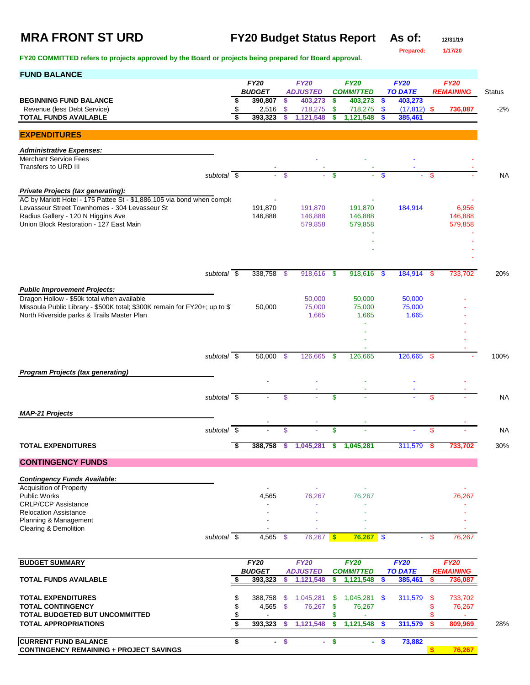## **MRA FRONT ST URD FY20 Budget Status Report As of: 12/31/19**

**Prepared: 1/17/20**

**FY20 COMMITTED refers to projects approved by the Board or projects being prepared for Board approval.** 

| <b>FUND BALANCE</b>                                                                                                      |          |                              |      |                            |               |                             |               |                           |          |                   |               |
|--------------------------------------------------------------------------------------------------------------------------|----------|------------------------------|------|----------------------------|---------------|-----------------------------|---------------|---------------------------|----------|-------------------|---------------|
|                                                                                                                          |          | <b>FY20</b><br><b>BUDGET</b> |      | <b>FY20</b>                |               | <b>FY20</b>                 |               | <b>FY20</b>               |          | <b>FY20</b>       |               |
| <b>BEGINNING FUND BALANCE</b>                                                                                            | \$       | 390,807                      | \$   | <b>ADJUSTED</b><br>403,273 | \$            | <b>COMMITTED</b><br>403,273 | \$            | <b>TO DATE</b><br>403,273 |          | <b>REMAINING</b>  | <b>Status</b> |
| Revenue (less Debt Service)                                                                                              | \$       | 2,516                        | \$   | 718,275                    | \$            | 718,275                     | \$            | $(17, 812)$ \$            |          | 736,087           | $-2\%$        |
| <b>TOTAL FUNDS AVAILABLE</b>                                                                                             | \$       | 393,323                      | S    | 1,121,548                  | \$            | 1,121,548                   |               | 385,461                   |          |                   |               |
| <b>EXPENDITURES</b>                                                                                                      |          |                              |      |                            |               |                             |               |                           |          |                   |               |
|                                                                                                                          |          |                              |      |                            |               |                             |               |                           |          |                   |               |
| <b>Administrative Expenses:</b><br><b>Merchant Service Fees</b>                                                          |          |                              |      |                            |               |                             |               |                           |          |                   |               |
| Transfers to URD III                                                                                                     |          |                              |      |                            |               |                             |               |                           |          |                   |               |
| subtotal \$                                                                                                              |          |                              | \$   |                            | $\mathbf{\$}$ |                             | $\mathbf{\$}$ |                           | \$       |                   | <b>NA</b>     |
|                                                                                                                          |          |                              |      |                            |               |                             |               |                           |          |                   |               |
| Private Projects (tax generating):<br>AC by Mariott Hotel - 175 Pattee St - \$1,886,105 via bond when comple             |          |                              |      |                            |               |                             |               |                           |          |                   |               |
| Levasseur Street Townhomes - 304 Levasseur St                                                                            |          | 191,870                      |      | 191,870                    |               | 191,870                     |               | 184,914                   |          | 6,956             |               |
| Radius Gallery - 120 N Higgins Ave                                                                                       |          | 146,888                      |      | 146,888                    |               | 146,888                     |               |                           |          | 146,888           |               |
| Union Block Restoration - 127 East Main                                                                                  |          |                              |      | 579,858                    |               | 579,858                     |               |                           |          | 579,858           |               |
|                                                                                                                          |          |                              |      |                            |               |                             |               |                           |          |                   |               |
|                                                                                                                          |          |                              |      |                            |               |                             |               |                           |          |                   |               |
|                                                                                                                          |          |                              |      |                            |               |                             |               |                           |          |                   |               |
| subtotal $\sqrt{s}$                                                                                                      |          | 338,758 \$                   |      | 918,616                    | - \$          | 918,616                     | -\$           | 184,914 \$                |          | 733,702           | 20%           |
|                                                                                                                          |          |                              |      |                            |               |                             |               |                           |          |                   |               |
| <b>Public Improvement Projects:</b>                                                                                      |          |                              |      |                            |               |                             |               |                           |          |                   |               |
| Dragon Hollow - \$50k total when available                                                                               |          |                              |      | 50,000                     |               | 50,000                      |               | 50,000                    |          |                   |               |
| Missoula Public Library - \$500K total; \$300K remain for FY20+; up to \$1<br>North Riverside parks & Trails Master Plan |          | 50,000                       |      | 75,000<br>1,665            |               | 75,000<br>1,665             |               | 75,000<br>1,665           |          |                   |               |
|                                                                                                                          |          |                              |      |                            |               |                             |               |                           |          |                   |               |
|                                                                                                                          |          |                              |      |                            |               |                             |               |                           |          |                   |               |
|                                                                                                                          |          |                              |      |                            |               |                             |               |                           |          |                   |               |
| subtotal \$                                                                                                              |          | $50,000$ \$                  |      | 126,665                    | S.            | 126,665                     |               | 126,665 \$                |          |                   | 100%          |
|                                                                                                                          |          |                              |      |                            |               |                             |               |                           |          |                   |               |
| <b>Program Projects (tax generating)</b>                                                                                 |          |                              |      |                            |               |                             |               |                           |          |                   |               |
|                                                                                                                          |          |                              |      |                            |               |                             |               |                           |          |                   |               |
| subtotal \$                                                                                                              |          |                              | \$   |                            | \$            |                             |               |                           | \$.      |                   | <b>NA</b>     |
|                                                                                                                          |          |                              |      |                            |               |                             |               |                           |          |                   |               |
| <b>MAP-21 Projects</b>                                                                                                   |          |                              |      |                            |               |                             |               |                           |          |                   |               |
| subtotal \$                                                                                                              |          |                              | \$   |                            | \$            |                             |               |                           | S.       |                   | <b>NA</b>     |
| <b>TOTAL EXPENDITURES</b>                                                                                                | \$       | 388,758                      | S    | 1,045,281                  | \$            | 1,045,281                   |               | 311,579                   |          | 733,702           | 30%           |
|                                                                                                                          |          |                              |      |                            |               |                             |               |                           |          |                   |               |
| <b>CONTINGENCY FUNDS</b>                                                                                                 |          |                              |      |                            |               |                             |               |                           |          |                   |               |
| <b>Contingency Funds Available:</b>                                                                                      |          |                              |      |                            |               |                             |               |                           |          |                   |               |
| <b>Acquisition of Property</b>                                                                                           |          |                              |      |                            |               |                             |               |                           |          |                   |               |
| Public Works                                                                                                             |          | 4,565                        |      | 76,267                     |               | 76,267                      |               |                           |          | 76,267            |               |
| <b>CRLP/CCP Assistance</b>                                                                                               |          |                              |      | Ē,                         |               |                             |               |                           |          |                   |               |
| <b>Relocation Assistance</b><br>Planning & Management                                                                    |          |                              |      |                            |               |                             |               |                           |          |                   |               |
| Clearing & Demolition                                                                                                    |          |                              |      |                            |               |                             |               |                           |          |                   |               |
| subtotal \$                                                                                                              |          | 4,565                        | - \$ | $76,267$ \$                |               | $76,267$ \$                 |               |                           | \$       | 76,267            |               |
|                                                                                                                          |          |                              |      |                            |               |                             |               |                           |          |                   |               |
| <b>BUDGET SUMMARY</b>                                                                                                    |          | <b>FY20</b>                  |      | <b>FY20</b>                |               | <b>FY20</b>                 |               | FY20                      |          | FY20              |               |
|                                                                                                                          |          | <b>BUDGET</b>                |      | <b>ADJUSTED</b>            |               | <b>COMMITTED</b>            |               | <b>TO DATE</b>            |          | <b>REMAINING</b>  |               |
| <b>TOTAL FUNDS AVAILABLE</b>                                                                                             | \$       | 393,323                      | \$   | 1,121,548                  | \$            | 1,121,548                   | \$            | 385,461                   | s        | 736,087           |               |
|                                                                                                                          |          |                              |      |                            |               |                             |               |                           |          |                   |               |
| <b>TOTAL EXPENDITURES</b><br><b>TOTAL CONTINGENCY</b>                                                                    | \$<br>\$ | 388,758<br>4,565 \$          | -\$  | 1,045,281<br>76,267        | \$<br>\$      | 1,045,281<br>76,267         | <b>S</b>      | 311,579                   | \$<br>\$ | 733,702<br>76,267 |               |
| <b>TOTAL BUDGETED BUT UNCOMMITTED</b>                                                                                    | \$       |                              |      |                            | \$            |                             |               |                           |          |                   |               |
| <b>TOTAL APPROPRIATIONS</b>                                                                                              | \$       | 393,323                      | -S   | 1,121,548                  | \$            | 1,121,548                   | \$            | 311,579                   | \$       | 809,969           | 28%           |
|                                                                                                                          |          |                              |      |                            |               |                             |               |                           |          |                   |               |
| <b>CURRENT FUND BALANCE</b>                                                                                              | \$       |                              | - \$ |                            | $-$ \$        | $\sim$                      | <b>S</b>      | 73,882                    |          |                   |               |

**CONTINGENCY REMAINING + PROJECT SAVINGS \$ 76,267**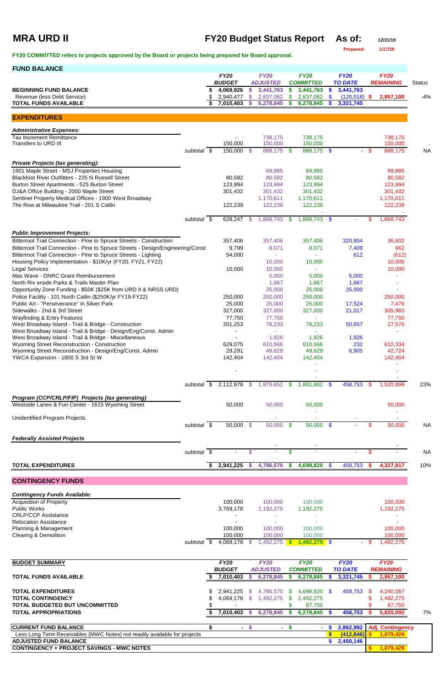| <b>MRA URD II</b>                                                                                                              |                          |          |                              |                 | <b>FY20 Budget Status Report</b> |               |                                 |      | As of:                        |        | 12/31/19                        |               |
|--------------------------------------------------------------------------------------------------------------------------------|--------------------------|----------|------------------------------|-----------------|----------------------------------|---------------|---------------------------------|------|-------------------------------|--------|---------------------------------|---------------|
| FY20 COMMITTED refers to projects approved by the Board or projects being prepared for Board approval.                         |                          |          |                              |                 |                                  |               |                                 |      | Prepared:                     |        | 1/17/20                         |               |
| <b>FUND BALANCE</b>                                                                                                            |                          |          |                              |                 |                                  |               |                                 |      |                               |        |                                 |               |
|                                                                                                                                |                          |          | <b>FY20</b><br><b>BUDGET</b> |                 | <b>FY20</b><br><b>ADJUSTED</b>   |               | <b>FY20</b><br><b>COMMITTED</b> |      | <b>FY20</b><br><b>TO DATE</b> |        | <b>FY20</b><br><b>REMAINING</b> | <b>Status</b> |
| <b>BEGINNING FUND BALANCE</b>                                                                                                  |                          | \$       | 4,069,926                    | \$              | 3,441,763                        |               | 3,441,763                       |      | 3,441,763                     |        |                                 |               |
| Revenue (less Debt Service)<br><b>TOTAL FUNDS AVAILABLE</b>                                                                    |                          | \$<br>\$ | 2,940,477<br>7,010,403       | -\$<br><b>S</b> | 2,837,082<br>6,278,845           | \$<br>S       | 2,837,082<br>6,278,845          |      | $(120,018)$ \$<br>3,321,745   |        | 2,957,100                       | $-4%$         |
|                                                                                                                                |                          |          |                              |                 |                                  |               |                                 |      |                               |        |                                 |               |
| <b>EXPENDITURES</b>                                                                                                            |                          |          |                              |                 |                                  |               |                                 |      |                               |        |                                 |               |
| <b>Administrative Expenses:</b><br><b>Tax Increment Remittance</b>                                                             |                          |          | $\overline{\phantom{a}}$     |                 | 738,175                          |               | 738,175                         |      |                               |        | 738,175                         |               |
| Transfers to URD III                                                                                                           |                          |          | 150,000                      |                 | 150,000                          |               | 150,000                         |      |                               |        | 150,000                         |               |
|                                                                                                                                | subtotal $\overline{\$}$ |          | 150,000 \$                   |                 | 888,175 \$                       |               | 888,175 \$                      |      |                               | $-$ \$ | 888,175                         | <b>NA</b>     |
| <b>Private Projects (tax generating):</b>                                                                                      |                          |          |                              |                 |                                  |               |                                 |      |                               |        |                                 |               |
| 1901 Maple Street - MSJ Properties Housing<br>Blackfoot River Outfitters - 225 N Russell Street                                |                          |          |                              |                 | 69,885                           |               | 69,885                          |      |                               |        | 69,885                          |               |
| Burton Street Apartments - 525 Burton Street                                                                                   |                          |          | 80,582<br>123,994            |                 | 80,582<br>123,994                |               | 80,582<br>123,994               |      |                               |        | 80,582<br>123,994               |               |
| DJ&A Office Building - 2000 Maple Street                                                                                       |                          |          | 301,432                      |                 | 301,432                          |               | 301,432                         |      |                               |        | 301,432                         |               |
| Sentinel Property Medical Offices - 1900 West Broadway                                                                         |                          |          |                              |                 | 1,170,611                        |               | 1,170,611                       |      |                               |        | 1,170,611                       |               |
| The Row at Milwaukee Trail - 201 S Catlin                                                                                      |                          |          | 122,239                      |                 | 122,239                          |               | 122,239                         |      |                               |        | 122,239                         |               |
|                                                                                                                                | subtotal $\overline{\$}$ |          | 628,247                      | -\$             | 1,868,743                        | <b>S</b>      | 1,868,743 \$                    |      |                               | S.     | 1,868,743                       |               |
| <b>Public Improvement Projects:</b>                                                                                            |                          |          |                              |                 |                                  |               |                                 |      |                               |        |                                 |               |
| Bitterroot Trail Connection - Pine to Spruce Streets - Construction                                                            |                          |          | 357,406                      |                 | 357,406                          |               | 357,406                         |      | 320,804                       |        | 36,602                          |               |
| Bitterroot Trail Connection - Pine to Spruce Streets - Design/Engineering/Const                                                |                          |          | 9,799                        |                 | 8,071                            |               | 8,071                           |      | 7,409                         |        | 662                             |               |
| Bitterroot Trail Connection - Pine to Spruce Streets - Lighting<br>Housing Policy Implementation - \$10K/yr (FY20, FY21, FY22) |                          |          | 54,000                       |                 | a.<br>10,000                     |               | 10,000                          |      | 612                           |        | (612)<br>10,000                 |               |
| <b>Legal Services</b>                                                                                                          |                          |          | 10,000                       |                 | 10,000                           |               |                                 |      |                               |        | 10,000                          |               |
| Max Wave - DNRC Grant Reimbursement                                                                                            |                          |          |                              |                 | 5,000                            |               | 5,000                           |      | 5,000                         |        | ÷                               |               |
| North Riv erside Parks & Trails Master Plan                                                                                    |                          |          |                              |                 | 1,667                            |               | 1,667                           |      | 1,667                         |        |                                 |               |
| Opportunity Zone Funding - \$50K (\$25K from URD II & NRSS URD)                                                                |                          |          |                              |                 | 25,000                           |               | 25,000                          |      | 25,000                        |        |                                 |               |
| Police Facility - 101 North Catlin (\$250K/yr FY19-FY22)<br>Public Art - "Perseverance" in Silver Park                         |                          |          | 250,000<br>25,000            |                 | 250,000<br>25,000                |               | 250,000<br>25,000               |      | 17,524                        |        | 250,000<br>7,476                |               |
| Sidewalks - 2nd & 3rd Street                                                                                                   |                          |          | 327,000                      |                 | 327,000                          |               | 327,000                         |      | 21,017                        |        | 305,983                         |               |
| <b>Wayfinding &amp; Entry Features</b>                                                                                         |                          |          | 77,750                       |                 | 77,750                           |               |                                 |      |                               |        | 77,750                          |               |
| West Broadway Island - Trail & Bridge - Construction                                                                           |                          |          | 201,253                      |                 | 78,233                           |               | 78,233                          |      | 50,657                        |        | 27,576                          |               |
| West Broadway Island - Trail & Bridge - Design/Eng/Const. Admin<br>West Broadway Island - Trail & Bridge - Miscellaneous       |                          |          | $\sim$                       |                 | 1,926                            |               | 1,926                           |      | 1,926                         |        |                                 |               |
| Wyoming Street Reconstruction - Construction                                                                                   |                          |          | 629,075                      |                 | 610,566                          |               | 610,566                         |      | 232                           |        | 610,334                         |               |
| Wyoming Street Reconstruction - Design/Eng/Const. Admin                                                                        |                          |          | 29,291                       |                 | 49,629                           |               | 49,629                          |      | 6,905                         |        | 42,724                          |               |
| YWCA Expansion - 1800 S 3rd St W                                                                                               |                          |          | 142,404                      |                 | 142,404                          |               | 142,404                         |      |                               |        | 142,404                         |               |
|                                                                                                                                |                          |          |                              |                 |                                  |               |                                 |      |                               |        |                                 |               |
|                                                                                                                                | subtotal \$              |          | 2,112,978 \$                 |                 | 1,979,652                        | - \$          | 1,891,902                       | - \$ | 458,753                       | S.     | 1,520,899                       | 23%           |
| Program (CCP/CRLP/FIP) Projects (tax generating)                                                                               |                          |          |                              |                 |                                  |               |                                 |      |                               |        |                                 |               |
| Westside Lanes & Fun Center - 1615 Wyoming Street                                                                              |                          |          | 50,000                       |                 | 50,000                           |               | 50,000                          |      |                               |        | 50,000                          |               |
|                                                                                                                                |                          |          |                              |                 |                                  |               |                                 |      |                               |        |                                 |               |
| Unidentified Program Projects                                                                                                  | subtotal \$              |          | $50,000$ \$                  |                 | 50,000 \$                        |               | $50,000$ \$                     |      |                               | \$     | 50,000                          | <b>NA</b>     |
| <b>Federally Assisted Projects</b>                                                                                             |                          |          |                              |                 |                                  |               |                                 |      |                               |        |                                 |               |
|                                                                                                                                | subtotal $\sqrt{s}$      |          |                              | \$              |                                  | $\frac{1}{2}$ |                                 |      | ٠                             | \$     |                                 | <b>NA</b>     |
|                                                                                                                                |                          |          |                              |                 |                                  |               |                                 |      |                               |        |                                 |               |
| <b>TOTAL EXPENDITURES</b>                                                                                                      |                          | S.       | 2,941,225 \$                 |                 | 4,786,570                        | - \$          | 4,698,820                       | - \$ | 458,753                       | -S     | 4,327,817                       | 10%           |
| <b>CONTINGENCY FUNDS</b>                                                                                                       |                          |          |                              |                 |                                  |               |                                 |      |                               |        |                                 |               |
| <b>Contingency Funds Available:</b>                                                                                            |                          |          |                              |                 |                                  |               |                                 |      |                               |        |                                 |               |
| <b>Acquisition of Property</b>                                                                                                 |                          |          | 100,000                      |                 | 100,000                          |               | 100,000                         |      |                               |        | 100,000                         |               |

| 1,192,275 |
|-----------|
|           |
|           |
|           |
| 100,000   |
| 100,000   |
| .492.275  |
|           |

| <b>BUDGET SUMMARY</b>                                                     |    | <b>FY20</b>   |     | <b>FY20</b>     |     | <b>FY20</b>      | <b>FY20</b>    |     | <b>FY20</b>             |    |
|---------------------------------------------------------------------------|----|---------------|-----|-----------------|-----|------------------|----------------|-----|-------------------------|----|
|                                                                           |    | <b>BUDGET</b> |     | <b>ADJUSTED</b> |     | <b>COMMITTED</b> | <b>TO DATE</b> |     | <b>REMAINING</b>        |    |
| <b>TOTAL FUNDS AVAILABLE</b>                                              |    | 7,010,403     |     | 6,278,845       |     | 6,278,845        | 3,321,745      |     | 2,957,100               |    |
| <b>TOTAL EXPENDITURES</b>                                                 | \$ | 2.941.225     | SS. | 4.786.570       | -SS | 4.698.820 \$     | 458,753        | -SS | 4,240,067               |    |
| <b>TOTAL CONTINGENCY</b>                                                  |    | 4.069.178 \$  |     | 1,492,275       | SS. | ,492,275         |                |     | ,492,275                |    |
| <b>TOTAL BUDGETED BUT UNCOMMITTED</b>                                     |    |               |     |                 |     | 87,750           |                |     | 87,750                  |    |
| <b>TOTAL APPROPRIATIONS</b>                                               |    | 7,010,403     |     | 6,278,845       |     | 6,278,845        | 458,753        |     | 5,820,092               | 7% |
| <b>CURRENT FUND BALANCE</b>                                               |    |               |     | and the         |     |                  | 2,862,992      |     | <b>Adj. Contingency</b> |    |
| Less Long Term Receivables (MWC Notes) not readily available for projects |    |               |     |                 |     |                  | (412, 846)     |     | 1,079,429               |    |
| <b>ADJUSTED FUND BALANCE</b>                                              |    |               |     |                 |     |                  | 2,450,146      |     |                         |    |
| <b>CONTINGENCY + PROJECT SAVINGS - MWC NOTES</b>                          |    |               |     |                 |     |                  |                |     | 1,079,429               |    |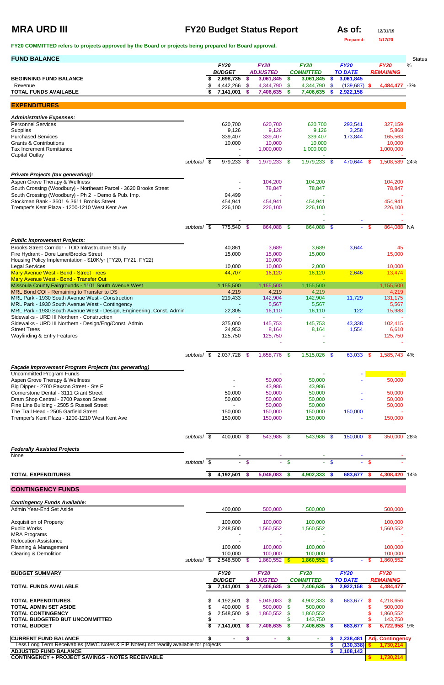# **MRA URD III FY20 Budget Status Report As of:**  $\frac{12}{31/19}$

| As of:           | 12/31/19 |
|------------------|----------|
| <b>Prepared:</b> | 1/17/20  |

**FY20 COMMITTED refers to projects approved by the Board or projects being prepared for Board approval.** 

| <b>FUND BALANCE</b>                                                                              |                          |    |                            |               |                              |                      |                               |           |                             |      |                  | <b>Status</b> |
|--------------------------------------------------------------------------------------------------|--------------------------|----|----------------------------|---------------|------------------------------|----------------------|-------------------------------|-----------|-----------------------------|------|------------------|---------------|
|                                                                                                  |                          |    | <b>FY20</b>                |               | <b>FY20</b>                  |                      | <b>FY20</b>                   |           | <b>FY20</b>                 |      | <b>FY20</b>      | $\%$          |
| <b>BEGINNING FUND BALANCE</b>                                                                    |                          |    | <b>BUDGET</b><br>2,698,735 | $\frac{1}{2}$ | <b>ADJUSTED</b><br>3,061,845 | \$                   | <b>COMMITTED</b><br>3,061,845 | \$        | <b>TO DATE</b><br>3,061,845 |      | <b>REMAINING</b> |               |
| Revenue                                                                                          |                          |    | 4,442,266                  | -\$           | 4,344,790                    | \$                   | 4,344,790                     | \$        | $(139, 687)$ \$             |      | 4,484,477 -3%    |               |
| <b>TOTAL FUNDS AVAILABLE</b>                                                                     |                          | \$ | 7,141,001                  |               | 7,406,635                    | S                    | 7,406,635                     |           | 2,922,158                   |      |                  |               |
|                                                                                                  |                          |    |                            |               |                              |                      |                               |           |                             |      |                  |               |
| <b>EXPENDITURES</b>                                                                              |                          |    |                            |               |                              |                      |                               |           |                             |      |                  |               |
| <b>Administrative Expenses:</b>                                                                  |                          |    |                            |               |                              |                      |                               |           |                             |      |                  |               |
| <b>Personnel Services</b>                                                                        |                          |    | 620,700                    |               | 620,700                      |                      | 620,700                       |           | 293,541                     |      | 327,159          |               |
| Supplies<br><b>Purchased Services</b>                                                            |                          |    | 9,126<br>339,407           |               | 9,126<br>339,407             |                      | 9,126<br>339,407              |           | 3,258<br>173,844            |      | 5,868<br>165,563 |               |
| <b>Grants &amp; Contributions</b>                                                                |                          |    | 10,000                     |               | 10,000                       |                      | 10,000                        |           |                             |      | 10,000           |               |
| <b>Tax Increment Remittance</b>                                                                  |                          |    |                            |               | 1,000,000                    |                      | 1,000,000                     |           |                             |      | 1,000,000        |               |
| <b>Capital Outlay</b>                                                                            |                          |    |                            |               |                              |                      |                               |           |                             |      |                  |               |
|                                                                                                  | subtotal \$              |    | $979,233$ \$               |               | 1,979,233 \$                 |                      | $1,979,233$ \$                |           | 470,644 \$                  |      | 1,508,589 24%    |               |
| <b>Private Projects (tax generating):</b>                                                        |                          |    |                            |               |                              |                      |                               |           |                             |      |                  |               |
| Aspen Grove Therapy & Wellness                                                                   |                          |    |                            |               | 104,200                      |                      | 104,200                       |           |                             |      | 104,200          |               |
| South Crossing (Woodbury) - Northeast Parcel - 3620 Brooks Street                                |                          |    |                            |               | 78,847                       |                      | 78,847                        |           |                             |      | 78,847           |               |
| South Crossing (Woodbury) - Ph 2 - Demo & Pub. Imp.<br>Stockman Bank - 3601 & 3611 Brooks Street |                          |    | 94,499<br>454,941          |               | 454,941                      |                      | 454,941                       |           |                             |      | 454,941          |               |
| Tremper's Kent Plaza - 1200-1210 West Kent Ave                                                   |                          |    | 226,100                    |               | 226,100                      |                      | 226,100                       |           |                             |      | 226,100          |               |
|                                                                                                  |                          |    |                            |               |                              |                      |                               |           |                             |      |                  |               |
|                                                                                                  |                          |    |                            |               |                              |                      |                               |           |                             |      |                  |               |
|                                                                                                  | subtotal $\overline{\$}$ |    | 775,540                    | - \$          | 864,088                      | -\$                  | 864,088 \$                    |           | $\omega_{\rm{eff}}$         | -\$  | 864,088 NA       |               |
| <b>Public Improvement Projects:</b>                                                              |                          |    |                            |               |                              |                      |                               |           |                             |      |                  |               |
| Brooks Street Corridor - TOD Infrastructure Study                                                |                          |    | 40,861                     |               | 3,689                        |                      | 3,689                         |           | 3,644                       |      | 45               |               |
| Fire Hydrant - Dore Lane/Brooks Street                                                           |                          |    | 15,000                     |               | 15,000                       |                      | 15,000                        |           |                             |      | 15,000           |               |
| Housing Policy Implementation - \$10K/yr (FY20, FY21, FY22)<br><b>Legal Services</b>             |                          |    | 10,000                     |               | 10,000<br>10,000             |                      | 2,000                         |           |                             |      | 10,000           |               |
| Mary Avenue West - Bond - Street Trees                                                           |                          |    | 44,707                     |               | 16,120                       |                      | 16,120                        |           | 2,646                       |      | 13,474           |               |
| Mary Avenue West - Bond - Transfer Out                                                           |                          |    |                            |               | - 1                          |                      | --                            |           |                             |      |                  |               |
| Missoula County Fairgrounds - 1101 South Avenue West                                             |                          |    | 1,155,500                  |               | 1,155,500                    |                      | 1,155,500                     |           |                             |      | 1,155,500        |               |
| MRL Bond COI - Remaining to Transfer to DS<br>MRL Park - 1930 South Avenue West - Construction   |                          |    | 4,219<br>219,433           |               | 4,219<br>142,904             |                      | 4,219<br>142,904              |           | 11,729                      |      | 4,219<br>131,175 |               |
| MRL Park - 1930 South Avenue West - Contingency                                                  |                          |    |                            |               | 5,567                        |                      | 5,567                         |           |                             |      | 5,567            |               |
| MRL Park - 1930 South Avenue West - Design, Engineering, Const. Admin                            |                          |    | 22,305                     |               | 16,110                       |                      | 16,110                        |           | 122                         |      | 15,988           |               |
| Sidewalks - URD III Northern - Construction                                                      |                          |    |                            |               |                              |                      |                               |           |                             |      |                  |               |
| Sidewalks - URD III Northern - Design/Eng/Const. Admin<br><b>Street Trees</b>                    |                          |    | 375,000<br>24,953          |               | 145,753<br>8,164             |                      | 145,753<br>8,164              |           | 43,338<br>1,554             |      | 102,415<br>6,610 |               |
| Wayfinding & Entry Features                                                                      |                          |    | 125,750                    |               | 125,750                      |                      |                               |           |                             |      | 125,750          |               |
|                                                                                                  |                          |    |                            |               |                              |                      |                               |           |                             |      |                  |               |
|                                                                                                  | subtotal \$              |    | 2,037,728 \$               |               | 1,658,776 \$                 |                      | 1,515,026 \$                  |           | 63,033                      | - \$ | 1,585,743 4%     |               |
|                                                                                                  |                          |    |                            |               |                              |                      |                               |           |                             |      |                  |               |
| Façade Improvement Program Projects (tax generating)                                             |                          |    |                            |               |                              |                      |                               |           |                             |      |                  |               |
| <b>Uncommitted Program Funds</b>                                                                 |                          |    |                            |               |                              |                      |                               |           |                             |      |                  |               |
| Aspen Grove Therapy & Wellness<br>Big Dipper - 2700 Paxson Street - Ste F                        |                          |    |                            |               | 50,000<br>43,986             |                      | 50,000<br>43,986              |           |                             |      | 50,000           |               |
| Cornerstone Dental - 3111 Grant Street                                                           |                          |    | 50,000                     |               | 50,000                       |                      | 50,000                        |           |                             |      | 50,000           |               |
| Dram Shop Central - 2700 Paxson Street                                                           |                          |    | 50,000                     |               | 50,000                       |                      | 50,000                        |           |                             |      | 50,000           |               |
| Fine Line Building - 2505 S Russell Street                                                       |                          |    |                            |               | 50,000                       |                      | 50,000                        |           |                             |      | 50,000           |               |
| The Trail Head - 2505 Garfield Street<br>Tremper's Kent Plaza - 1200-1210 West Kent Ave          |                          |    | 150,000<br>150,000         |               | 150,000<br>150,000           |                      | 150,000<br>150,000            |           | 150,000                     |      | 150,000          |               |
|                                                                                                  |                          |    |                            |               |                              |                      |                               |           |                             |      |                  |               |
|                                                                                                  |                          |    |                            |               |                              |                      |                               |           |                             |      |                  |               |
|                                                                                                  | subtotal \$              |    | 400,000 \$                 |               | 543,986 \$                   |                      | 543,986 \$                    |           | 150,000 \$                  |      | 350,000 28%      |               |
| <b>Federally Assisted Projects</b>                                                               |                          |    |                            |               |                              |                      |                               |           |                             |      |                  |               |
| <b>None</b>                                                                                      |                          |    |                            |               |                              |                      |                               |           |                             |      |                  |               |
|                                                                                                  | subtotal \$              |    |                            | $-$ \$        |                              | $\frac{1}{\sqrt{2}}$ | $\Delta \phi$                 | $\bullet$ | $\Delta \phi$               | -\$  |                  |               |
| <b>TOTAL EXPENDITURES</b>                                                                        |                          | S. | 4,192,501 \$               |               | 5,046,083                    | - \$                 | 4,902,333 \$                  |           | 683,677 \$                  |      | 4,308,420 14%    |               |
|                                                                                                  |                          |    |                            |               |                              |                      |                               |           |                             |      |                  |               |

**CONTINGENCY FUNDS**

*Contingency Funds Available:*

| Contingency Funds Available.<br>Admin Year-End Set Aside                                                              |             |               | 400,000 |     |                 |     |                      |    |                         |    |                         |  |
|-----------------------------------------------------------------------------------------------------------------------|-------------|---------------|---------|-----|-----------------|-----|----------------------|----|-------------------------|----|-------------------------|--|
|                                                                                                                       |             |               |         |     | 500,000         |     | 500,000              |    |                         |    | 500,000                 |  |
| <b>Acquisition of Property</b>                                                                                        |             |               | 100,000 |     | 100,000         |     | 100,000              |    |                         |    | 100,000                 |  |
| <b>Public Works</b>                                                                                                   |             | 2,248,500     |         |     | 1,560,552       |     | 1,560,552            |    |                         |    | 1,560,552               |  |
| <b>MRA Programs</b>                                                                                                   |             |               |         |     |                 |     |                      |    |                         |    |                         |  |
| <b>Relocation Assistance</b>                                                                                          |             |               |         |     |                 |     |                      |    |                         |    |                         |  |
| Planning & Management                                                                                                 |             |               | 100,000 |     | 100,000         |     | 100,000              |    |                         |    | 100,000                 |  |
| Clearing & Demolition                                                                                                 |             |               | 100,000 |     | 100,000         |     | 100,000              |    |                         |    | 100,000                 |  |
|                                                                                                                       | subtotal \$ | 2,548,500     |         | -SS | $1,860,552$ \$  |     | $1,860,552$ \$       |    | ÷.                      | -S | 1,860,552               |  |
| <b>BUDGET SUMMARY</b>                                                                                                 |             | <b>FY20</b>   |         |     | <b>FY20</b>     |     | <b>FY20</b>          |    | <b>FY20</b>             |    | <b>FY20</b>             |  |
|                                                                                                                       |             | <b>BUDGET</b> |         |     | <b>ADJUSTED</b> |     | <b>COMMITTED</b>     |    | <b>TO DATE</b>          |    | <b>REMAINING</b>        |  |
| <b>TOTAL FUNDS AVAILABLE</b>                                                                                          |             | 7,141,001     |         |     | 7,406,635       | S   | 7,406,635            | -S | 2,922,158               |    | 4,484,477               |  |
|                                                                                                                       |             |               |         |     |                 |     |                      |    |                         |    |                         |  |
|                                                                                                                       |             |               |         |     |                 |     |                      |    |                         |    |                         |  |
| <b>TOTAL EXPENDITURES</b>                                                                                             |             | 4,192,501     |         | -S  | 5,046,083       | -S  | 4,902,333 \$         |    | 683,677                 | -S | 4,218,656               |  |
| <b>TOTAL ADMIN SET ASIDE</b>                                                                                          |             |               | 400,000 |     | 500,000         | - S | 500,000              |    |                         |    | 500,000                 |  |
| <b>TOTAL CONTINGENCY</b>                                                                                              |             | 2,548,500     |         | \$. | 1,860,552       |     | 1,860,552            |    |                         |    | 1,860,552               |  |
| <b>TOTAL BUDGETED BUT UNCOMMITTED</b><br><b>TOTAL BUDGET</b>                                                          |             | 7,141,001     |         |     | 7,406,635       |     | 143,750<br>7,406,635 |    | 683,677                 |    | 143,750<br>6,722,958 9% |  |
|                                                                                                                       |             |               | ۰       |     |                 |     |                      |    |                         |    |                         |  |
| <b>CURRENT FUND BALANCE</b>                                                                                           |             |               |         |     |                 |     |                      |    | 2,238,481               |    | <b>Adj. Contingency</b> |  |
| Less Long Term Receivables (MWC Notes & FIP Notes) not readily available for projects<br><b>ADJUSTED FUND BALANCE</b> |             |               |         |     |                 |     |                      |    | (130, 338)<br>2,108,143 |    | 1,730,214               |  |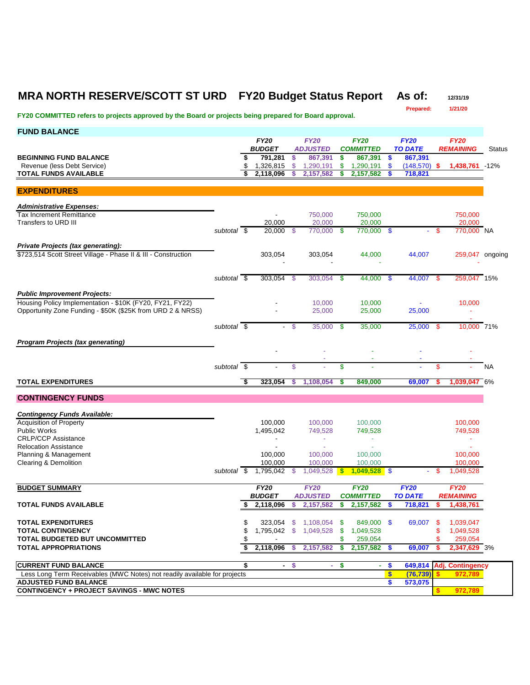## **MRA NORTH RESERVE/SCOTT ST URD FY20 Budget Status Report As of: 12/31/19**

**Prepared: 1/21/20 FY20 COMMITTED refers to projects approved by the Board or projects being prepared for Board approval. FUND BALANCE** *FY20 FY20 FY20 FY20 FY20 BUDGET ADJUSTED COMMITTED TO DATE REMAINING* Status **BEGINNING FUND BALANCE 867,391 \$ 867,391 \$ 867,391 \$ 867,391 \$ 867,391 \$ 867,391 \$ 867,391 \$ 867,391 \$ 867,391 \$ 867,391 \$** 1,320,191 **\$** 1,290,191 **\$** 1,290,191 **\$** 1,290,191 **\$** 1,290,191 **\$** 1,290 Revenue (less Debt Service) \$ 1,326,815 \$ 1,290,191 \$ 1,290,191 \$ (148,570) **\$ 1,438,761** -12% **TOTAL FUNDS AVAILABLE \$ 2,118,096 \$ 2,157,582 \$ 2,157,582 \$ 718,821 EXPENDITURES** *Administrative Expenses:* Tax Increment Remittance - 750,000 750,000 750,000 Transfers to URD III *subtotal* \$ 20,000 \$ 770,000 \$ 770,000 \$ - \$ 770,000 NA *Private Projects (tax generating):* \$723,514 Scott Street Village - Phase II & III - Construction 303,054 303,054 44,000 44,007 259,047 ongoing - - - *subtotal* \$ 303,054 \$ 303,054 \$ 44,000 \$ 44,007 \$ 259,047 15% *Public Improvement Projects:* Housing Policy Implementation - \$10K (FY20, FY21, FY22)  $\overline{a}$  10,000 10,000 10,000 - 10,000 10,000 - 10,000 10,000 - 10,000 10,000 - 10,000 10,000 - 10,000 - 10,000 - 10,000 - 10,000 - 10,000 - 10,000 - 10,000 - 10,000 Opportunity Zone Funding - \$50K (\$25K from URD 2 & NRSS) - 25,000 25,000 25,000 - *subtotal* \$ - \$ 35,000 \$ 35,000 25,000 \$ 10,000 71% *Program Projects (tax generating)*  - - - - - - - - *subtotal* \$ - \$ - \$ - - \$ - NA **TOTAL EXPENDITURES \$ 323,054 \$ 1,108,054 \$ 849,000 69,007 \$ 1,039,047** 6% **CONTINGENCY FUNDS** *Contingency Funds Available:* Acquisition of Property 100,000 100,000 100,000 100,000 100,000 100,000 100,000 100,000 100,000 100,000 100,000 Public Works 1,495,042 749,528 749,528 749,528 CRLP/CCP Assistance and the state of the state of the state of the state of the state of the state of the state of the state of the state of the state of the state of the state of the state of the state of the state of the Relocation Assistance and the state of the state of the state of the state of the state of the state of the state of the state of the state of the state of the state of the state of the state of the state of the state of t Planning & Management 100,000 100,000 100,000 100,000 100,000 100,000 100,000 100,000 100,000 100,000 100,000 Clearing & Demolition 100,000 100,000 100,000 100,000 100,000 100,000 100,000 100,000 100,000 100,000 100,000 *subtotal* \$ 1,795,042 \$ 1,049,528 **\$ 1,049,528** \$ - \$ 1,049,528 **BUDGET SUMMARY** *FY20 FY20 FY20 FY20 FY20 BUDGET ADJUSTED COMMITTED TO DATE REMAINING* **TOTAL FUNDS AVAILABLE \$ 2,118,096 \$ 2,157,582 \$ 2,157,582 \$ 718,821 \$ 1,438,761 TOTAL EXPENDITURES 1,108,054 \$ 323,054 \$ 1,108,054 \$ 69,007 \$ 1,039,047**<br>**TOTAL CONTINGENCY 1,049,528 \$ 1,049,528 \$ 1,049,528 \$ 1,049,528 \$ 1,049,528 TOTAL CONTINGENCY 8 1,795.042 \$ 1,795.042 \$ 1,049.528 \$ 1,049.528 \$ 1,049.528** \$ 1,049.528 **TOTAL BUDGETED BUT UNCOMMITTED**  $\text{\$}$   $\text{\$}$   $\text{\$}$   $\text{\$}$   $\text{\$}$   $\text{\$}$   $\text{\$}$   $\text{\$}$   $\text{\$}$   $\text{\$}$   $\text{\$}$   $\text{\$}$   $\text{\$}$   $\text{\$}$   $\text{\$}$   $\text{\$}$   $\text{\$}$   $\text{\$}$   $\text{\$}$   $\text{\$}$   $\text{\$}$   $\text{\$}$   $\text{\$}$   $\text{\$$ **TOTAL APPROPRIATIONS \$ 2,118,096 \$ 2,157,582 \$ 2,157,582 \$ 69,007 \$ 2,347,629** 3% **CURRENT FUND BALANCE \$ - \$ - \$ - \$ 649,814 Adj. Contingency** Less Long Term Receivables (MWC Notes) not readily available for projects **\$ (76,739) \$ 972,789 ADJUSTED FUND BALANCE \$ 573,075 CONTINGENCY + PROJECT SAVINGS - MWC NOTES \$ 972,789**